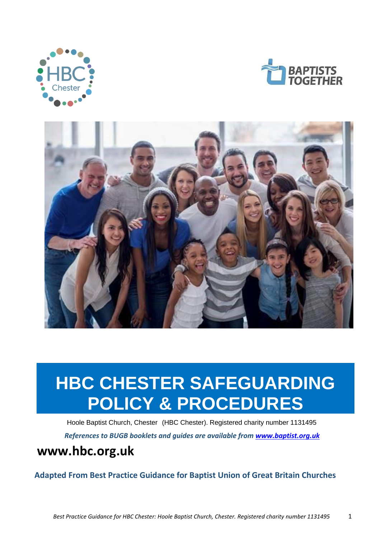





# **HBC CHESTER SAFEGUARDING POLICY & PROCEDURES**

Hoole Baptist Church, Chester (HBC Chester). Registered charity number 1131495 *References to BUGB booklets and guides are available from [www.baptist.org.uk](http://www.baptist.org.uk/)*

# **www.hbc.org.uk**

**Adapted From Best Practice Guidance for Baptist Union of Great Britain Churches**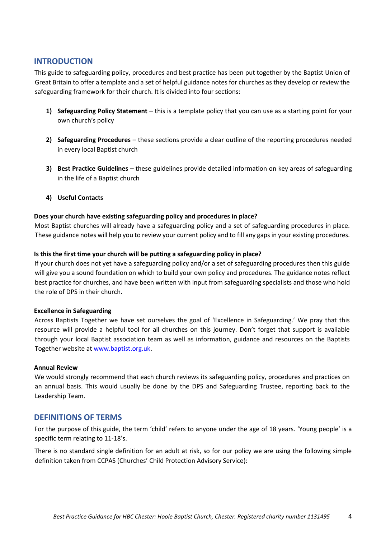# <span id="page-3-0"></span>**INTRODUCTION**

This guide to safeguarding policy, procedures and best practice has been put together by the Baptist Union of Great Britain to offer a template and a set of helpful guidance notes for churches as they develop or review the safeguarding framework for their church. It is divided into four sections:

- **1) Safeguarding Policy Statement** this is a template policy that you can use as a starting point for your own church's policy
- **2) Safeguarding Procedures** these sections provide a clear outline of the reporting procedures needed in every local Baptist church
- **3) Best Practice Guidelines**  these guidelines provide detailed information on key areas of safeguarding in the life of a Baptist church
- **4) Useful Contacts**

# **Does your church have existing safeguarding policy and procedures in place?**

Most Baptist churches will already have a safeguarding policy and a set of safeguarding procedures in place. These guidance notes will help you to review your current policy and to fill any gaps in your existing procedures.

# **Is this the first time your church will be putting a safeguarding policy in place?**

If your church does not yet have a safeguarding policy and/or a set of safeguarding procedures then this guide will give you a sound foundation on which to build your own policy and procedures. The guidance notes reflect best practice for churches, and have been written with input from safeguarding specialists and those who hold the role of DPS in their church.

## **Excellence in Safeguarding**

Across Baptists Together we have set ourselves the goal of 'Excellence in Safeguarding.' We pray that this resource will provide a helpful tool for all churches on this journey. Don't forget that support is available through your local Baptist association team as well as information, guidance and resources on the Baptists Together website a[t www.baptist.org.uk.](http://www.baptist.org.uk/)

## **Annual Review**

We would strongly recommend that each church reviews its safeguarding policy, procedures and practices on an annual basis. This would usually be done by the DPS and Safeguarding Trustee, reporting back to the Leadership Team.

# <span id="page-3-1"></span>**DEFINITIONS OF TERMS**

For the purpose of this guide, the term 'child' refers to anyone under the age of 18 years. 'Young people' is a specific term relating to 11-18's.

There is no standard single definition for an adult at risk, so for our policy we are using the following simple definition taken from CCPAS (Churches' Child Protection Advisory Service):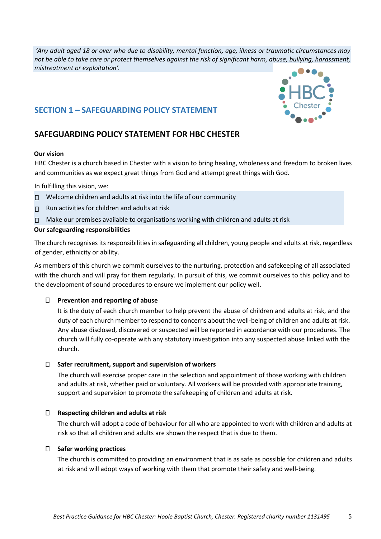*'Any adult aged 18 or over who due to disability, mental function, age, illness or traumatic circumstances may not be able to take care or protect themselves against the risk of significant harm, abuse, bullying, harassment, mistreatment or exploitation'.* 

# <span id="page-4-0"></span>**SECTION 1 – SAFEGUARDING POLICY STATEMENT**

# **SAFEGUARDING POLICY STATEMENT FOR HBC CHESTER**

## **Our vision**

HBC Chester is a church based in Chester with a vision to bring healing, wholeness and freedom to broken lives and communities as we expect great things from God and attempt great things with God.

In fulfilling this vision, we:

- □ Welcome children and adults at risk into the life of our community
- $\Pi$  Run activities for children and adults at risk
- $\Box$  Make our premises available to organisations working with children and adults at risk

# **Our safeguarding responsibilities**

The church recognises its responsibilities in safeguarding all children, young people and adults at risk, regardless of gender, ethnicity or ability.

As members of this church we commit ourselves to the nurturing, protection and safekeeping of all associated with the church and will pray for them regularly. In pursuit of this, we commit ourselves to this policy and to the development of sound procedures to ensure we implement our policy well.

# **Prevention and reporting of abuse**

It is the duty of each church member to help prevent the abuse of children and adults at risk, and the duty of each church member to respond to concerns about the well-being of children and adults at risk. Any abuse disclosed, discovered or suspected will be reported in accordance with our procedures. The church will fully co-operate with any statutory investigation into any suspected abuse linked with the church.

## **Safer recruitment, support and supervision of workers**

The church will exercise proper care in the selection and appointment of those working with children and adults at risk, whether paid or voluntary. All workers will be provided with appropriate training, support and supervision to promote the safekeeping of children and adults at risk.

## **Respecting children and adults at risk**

The church will adopt a code of behaviour for all who are appointed to work with children and adults at risk so that all children and adults are shown the respect that is due to them.

## **Safer working practices**

The church is committed to providing an environment that is as safe as possible for children and adults at risk and will adopt ways of working with them that promote their safety and well-being.



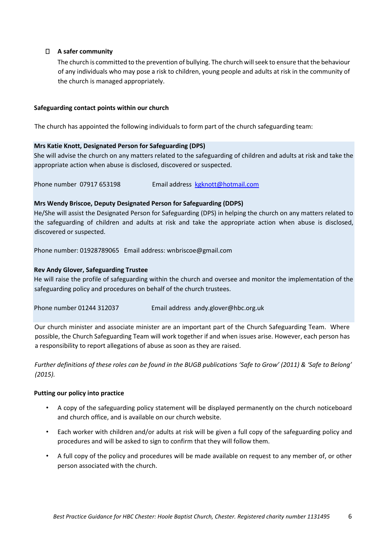# **A safer community**

The church is committed to the prevention of bullying. The church will seek to ensure that the behaviour of any individuals who may pose a risk to children, young people and adults at risk in the community of the church is managed appropriately.

## **Safeguarding contact points within our church**

The church has appointed the following individuals to form part of the church safeguarding team:

# **Mrs Katie Knott, Designated Person for Safeguarding (DPS)**

She will advise the church on any matters related to the safeguarding of children and adults at risk and take the appropriate action when abuse is disclosed, discovered or suspected.

Phone number 07917 653198 Email address kgknott@hotmail.com

# **Mrs Wendy Briscoe, Deputy Designated Person for Safeguarding (DDPS)**

He/She will assist the Designated Person for Safeguarding (DPS) in helping the church on any matters related to the safeguarding of children and adults at risk and take the appropriate action when abuse is disclosed, discovered or suspected.

Phone number: 01928789065 Email address: wnbriscoe@gmail.com

# **Rev Andy Glover, Safeguarding Trustee**

He will raise the profile of safeguarding within the church and oversee and monitor the implementation of the safeguarding policy and procedures on behalf of the church trustees.

Phone number 01244 312037 Email address andy.glover@hbc.org.uk

Our church minister and associate minister are an important part of the Church Safeguarding Team. Where possible, the Church Safeguarding Team will work together if and when issues arise. However, each person has a responsibility to report allegations of abuse as soon as they are raised.

*Further definitions of these roles can be found in the BUGB publications 'Safe to Grow' (2011) & 'Safe to Belong' (2015).* 

## **Putting our policy into practice**

- A copy of the safeguarding policy statement will be displayed permanently on the church noticeboard and church office, and is available on our church website.
- Each worker with children and/or adults at risk will be given a full copy of the safeguarding policy and procedures and will be asked to sign to confirm that they will follow them.
- A full copy of the policy and procedures will be made available on request to any member of, or other person associated with the church.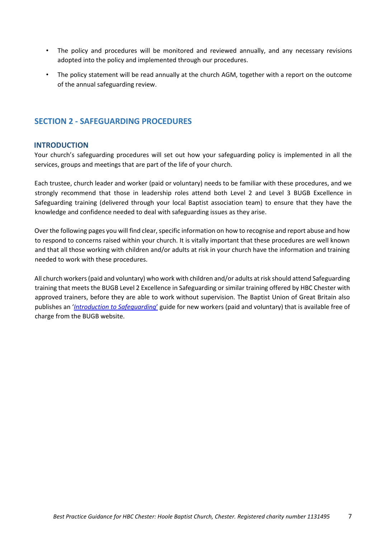- The policy and procedures will be monitored and reviewed annually, and any necessary revisions adopted into the policy and implemented through our procedures.
- The policy statement will be read annually at the church AGM, together with a report on the outcome of the annual safeguarding review.

# <span id="page-6-0"></span>**SECTION 2 - SAFEGUARDING PROCEDURES**

# <span id="page-6-1"></span>**INTRODUCTION**

Your church's safeguarding procedures will set out how your safeguarding policy is implemented in all the services, groups and meetings that are part of the life of your church.

Each trustee, church leader and worker (paid or voluntary) needs to be familiar with these procedures, and we strongly recommend that those in leadership roles attend both Level 2 and Level 3 BUGB Excellence in Safeguarding training (delivered through your local Baptist association team) to ensure that they have the knowledge and confidence needed to deal with safeguarding issues as they arise.

Over the following pages you will find clear, specific information on how to recognise and report abuse and how to respond to concerns raised within your church. It is vitally important that these procedures are well known and that all those working with children and/or adults at risk in your church have the information and training needed to work with these procedures.

All church workers (paid and voluntary) who work with children and/or adults at risk should attend Safeguarding training that meets the BUGB Level 2 Excellence in Safeguarding or similar training offered by HBC Chester with approved trainers, before they are able to work without supervision. The Baptist Union of Great Britain also publishes an '*[Introduction to Safeguarding](https://bit.ly/2ts4C70)*['](https://bit.ly/2ts4C70) [g](https://bit.ly/2ts4C70)uide for new workers (paid and voluntary) that is available free of charge from the BUGB website.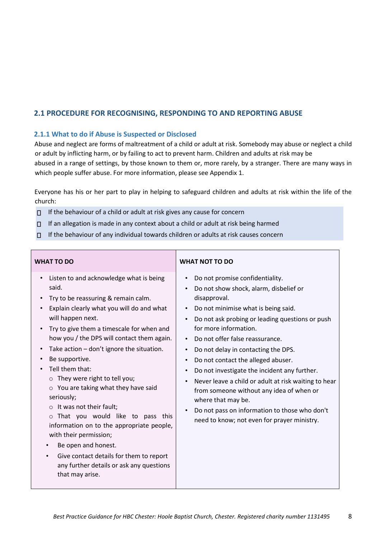# <span id="page-7-0"></span>**2.1 PROCEDURE FOR RECOGNISING, RESPONDING TO AND REPORTING ABUSE**

# <span id="page-7-1"></span>**2.1.1 What to do if Abuse is Suspected or Disclosed**

Abuse and neglect are forms of maltreatment of a child or adult at risk. Somebody may abuse or neglect a child or adult by inflicting harm, or by failing to act to prevent harm. Children and adults at risk may be abused in a range of settings, by those known to them or, more rarely, by a stranger. There are many ways in which people suffer abuse. For more information, please see Appendix 1.

Everyone has his or her part to play in helping to safeguard children and adults at risk within the life of the church:

- $\Box$  If the behaviour of a child or adult at risk gives any cause for concern
- $\Box$  If an allegation is made in any context about a child or adult at risk being harmed
- $\Pi$  If the behaviour of any individual towards children or adults at risk causes concern

| <b>WHAT TO DO</b>                                                                                                                                                                                                                                                                                                                                                                                                                                                                                                                                                                                                                                                                                                      | <b>WHAT NOT TO DO</b>                                                                                                                                                                                                                                                                                                                                                                                                                                                                                                                                                                                                                                                                                                       |
|------------------------------------------------------------------------------------------------------------------------------------------------------------------------------------------------------------------------------------------------------------------------------------------------------------------------------------------------------------------------------------------------------------------------------------------------------------------------------------------------------------------------------------------------------------------------------------------------------------------------------------------------------------------------------------------------------------------------|-----------------------------------------------------------------------------------------------------------------------------------------------------------------------------------------------------------------------------------------------------------------------------------------------------------------------------------------------------------------------------------------------------------------------------------------------------------------------------------------------------------------------------------------------------------------------------------------------------------------------------------------------------------------------------------------------------------------------------|
| Listen to and acknowledge what is being<br>said.<br>Try to be reassuring & remain calm.<br>Explain clearly what you will do and what<br>will happen next.<br>Try to give them a timescale for when and<br>how you / the DPS will contact them again.<br>Take action - don't ignore the situation.<br>Be supportive.<br>Tell them that:<br>They were right to tell you;<br>$\circ$ You are taking what they have said<br>seriously;<br>It was not their fault;<br>That you would like to pass this<br>information on to the appropriate people,<br>with their permission;<br>Be open and honest.<br>Give contact details for them to report<br>$\bullet$<br>any further details or ask any questions<br>that may arise. | Do not promise confidentiality.<br>$\bullet$<br>Do not show shock, alarm, disbelief or<br>$\bullet$<br>disapproval.<br>Do not minimise what is being said.<br>$\bullet$<br>Do not ask probing or leading questions or push<br>$\bullet$<br>for more information.<br>Do not offer false reassurance.<br>$\bullet$<br>Do not delay in contacting the DPS.<br>$\bullet$<br>Do not contact the alleged abuser.<br>$\bullet$<br>Do not investigate the incident any further.<br>$\bullet$<br>Never leave a child or adult at risk waiting to hear<br>from someone without any idea of when or<br>where that may be.<br>Do not pass on information to those who don't<br>$\bullet$<br>need to know; not even for prayer ministry. |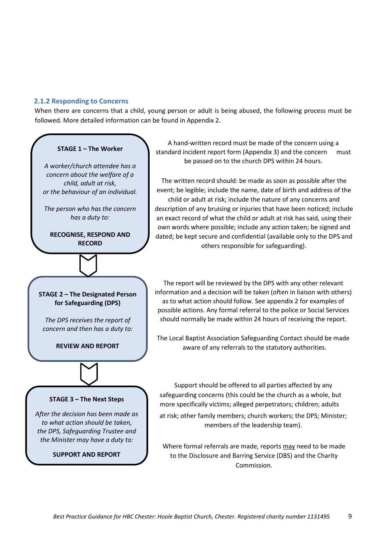# <span id="page-8-0"></span>**2.1.2 Responding to Concerns**

When there are concerns that a child, young person or adult is being abused, the following process must be followed. More detailed information can be found in Appendix 2.

#### **STAGE 1 – The Worker**

*A worker/church attendee has a concern about the welfare of a child, adult at risk, or the behaviour of an individual.*

*The person who has the concern has a duty to:*

**RECOGNISE, RESPOND AND RECORD**

**STAGE 2 – The Designated Person for Safeguarding (DPS)**

*The DPS receives the report of concern and then has a duty to:*

**REVIEW AND REPORT**



The written record should: be made as soon as possible after the event; be legible; include the name, date of birth and address of the child or adult at risk; include the nature of any concerns and description of any bruising or injuries that have been noticed; include an exact record of what the child or adult at risk has said, using their own words where possible; include any action taken; be signed and dated; be kept secure and confidential (available only to the DPS and others responsible for safeguarding).

The report will be reviewed by the DPS with any other relevant information and a decision will be taken (often in liaison with others) as to what action should follow. See appendix 2 for examples of possible actions. Any formal referral to the police or Social Services should normally be made within 24 hours of receiving the report.

The Local Baptist Association Safeguarding Contact should be made aware of any referrals to the statutory authorities.

#### **STAGE 3 – The Next Steps**

*After the decision has been made as to what action should be taken, the DPS, Safeguarding Trustee and the Minister may have a duty to:*

**SUPPORT AND REPORT**

Support should be offered to all parties affected by any safeguarding concerns (this could be the church as a whole, but more specifically victims; alleged perpetrators; children; adults at risk; other family members; church workers; the DPS; Minister; members of the leadership team).

Where formal referrals are made, reports may need to be made to the Disclosure and Barring Service (DBS) and the Charity Commission.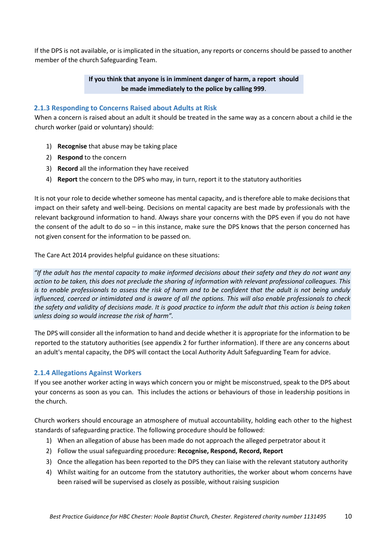If the DPS is not available, or is implicated in the situation, any reports or concerns should be passed to another member of the church Safeguarding Team.

# **If you think that anyone is in imminent danger of harm, a report should be made immediately to the police by calling 999**.

# <span id="page-9-0"></span>**2.1.3 Responding to Concerns Raised about Adults at Risk**

When a concern is raised about an adult it should be treated in the same way as a concern about a child ie the church worker (paid or voluntary) should:

- 1) **Recognise** that abuse may be taking place
- 2) **Respond** to the concern
- 3) **Record** all the information they have received
- 4) **Report** the concern to the DPS who may, in turn, report it to the statutory authorities

It is not your role to decide whether someone has mental capacity, and is therefore able to make decisions that impact on their safety and well-being. Decisions on mental capacity are best made by professionals with the relevant background information to hand. Always share your concerns with the DPS even if you do not have the consent of the adult to do so – in this instance, make sure the DPS knows that the person concerned has not given consent for the information to be passed on.

The Care Act 2014 provides helpful guidance on these situations:

*"If the adult has the mental capacity to make informed decisions about their safety and they do not want any action to be taken, this does not preclude the sharing of information with relevant professional colleagues. This is to enable professionals to assess the risk of harm and to be confident that the adult is not being unduly influenced, coerced or intimidated and is aware of all the options. This will also enable professionals to check the safety and validity of decisions made. It is good practice to inform the adult that this action is being taken unless doing so would increase the risk of harm".* 

The DPS will consider all the information to hand and decide whether it is appropriate for the information to be reported to the statutory authorities (see appendix 2 for further information). If there are any concerns about an adult's mental capacity, the DPS will contact the Local Authority Adult Safeguarding Team for advice.

# <span id="page-9-1"></span>**2.1.4 Allegations Against Workers**

If you see another worker acting in ways which concern you or might be misconstrued, speak to the DPS about your concerns as soon as you can. This includes the actions or behaviours of those in leadership positions in the church.

Church workers should encourage an atmosphere of mutual accountability, holding each other to the highest standards of safeguarding practice. The following procedure should be followed:

- 1) When an allegation of abuse has been made do not approach the alleged perpetrator about it
- 2) Follow the usual safeguarding procedure: **Recognise, Respond, Record, Report**
- 3) Once the allegation has been reported to the DPS they can liaise with the relevant statutory authority
- 4) Whilst waiting for an outcome from the statutory authorities, the worker about whom concerns have been raised will be supervised as closely as possible, without raising suspicion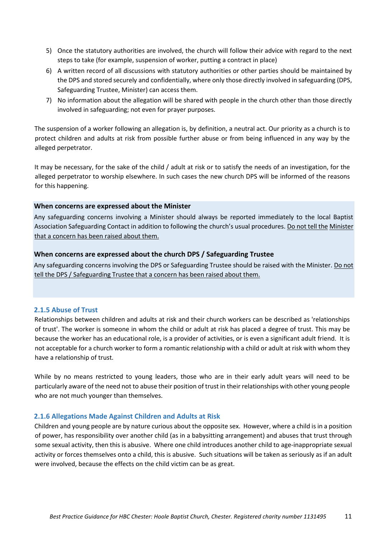- 5) Once the statutory authorities are involved, the church will follow their advice with regard to the next steps to take (for example, suspension of worker, putting a contract in place)
- 6) A written record of all discussions with statutory authorities or other parties should be maintained by the DPS and stored securely and confidentially, where only those directly involved in safeguarding (DPS, Safeguarding Trustee, Minister) can access them.
- 7) No information about the allegation will be shared with people in the church other than those directly involved in safeguarding; not even for prayer purposes.

The suspension of a worker following an allegation is, by definition, a neutral act. Our priority as a church is to protect children and adults at risk from possible further abuse or from being influenced in any way by the alleged perpetrator.

It may be necessary, for the sake of the child / adult at risk or to satisfy the needs of an investigation, for the alleged perpetrator to worship elsewhere. In such cases the new church DPS will be informed of the reasons for this happening.

# **When concerns are expressed about the Minister**

Any safeguarding concerns involving a Minister should always be reported immediately to the local Baptist Association Safeguarding Contact in addition to following the church's usual procedures. Do not tell the Minister that a concern has been raised about them.

# **When concerns are expressed about the church DPS / Safeguarding Trustee**

Any safeguarding concerns involving the DPS or Safeguarding Trustee should be raised with the Minister. Do not tell the DPS / Safeguarding Trustee that a concern has been raised about them.

## <span id="page-10-0"></span>**2.1.5 Abuse of Trust**

Relationships between children and adults at risk and their church workers can be described as 'relationships of trust'. The worker is someone in whom the child or adult at risk has placed a degree of trust. This may be because the worker has an educational role, is a provider of activities, or is even a significant adult friend. It is not acceptable for a church worker to form a romantic relationship with a child or adult at risk with whom they have a relationship of trust.

While by no means restricted to young leaders, those who are in their early adult years will need to be particularly aware of the need not to abuse their position of trust in their relationships with other young people who are not much younger than themselves.

## <span id="page-10-1"></span>**2.1.6 Allegations Made Against Children and Adults at Risk**

Children and young people are by nature curious about the opposite sex. However, where a child is in a position of power, has responsibility over another child (as in a babysitting arrangement) and abuses that trust through some sexual activity, then this is abusive. Where one child introduces another child to age-inappropriate sexual activity or forces themselves onto a child, this is abusive. Such situations will be taken as seriously as if an adult were involved, because the effects on the child victim can be as great.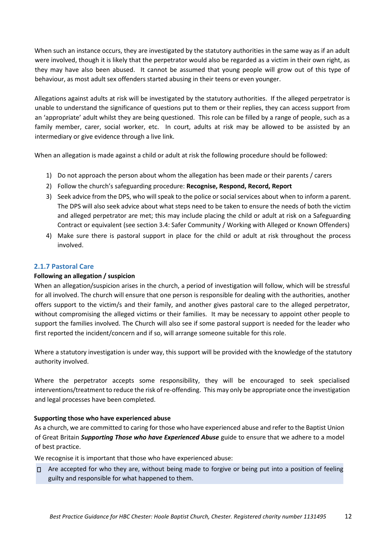When such an instance occurs, they are investigated by the statutory authorities in the same way as if an adult were involved, though it is likely that the perpetrator would also be regarded as a victim in their own right, as they may have also been abused. It cannot be assumed that young people will grow out of this type of behaviour, as most adult sex offenders started abusing in their teens or even younger.

Allegations against adults at risk will be investigated by the statutory authorities. If the alleged perpetrator is unable to understand the significance of questions put to them or their replies, they can access support from an 'appropriate' adult whilst they are being questioned. This role can be filled by a range of people, such as a family member, carer, social worker, etc. In court, adults at risk may be allowed to be assisted by an intermediary or give evidence through a live link.

When an allegation is made against a child or adult at risk the following procedure should be followed:

- 1) Do not approach the person about whom the allegation has been made or their parents / carers
- 2) Follow the church's safeguarding procedure: **Recognise, Respond, Record, Report**
- 3) Seek advice from the DPS, who will speak to the police or social services about when to inform a parent. The DPS will also seek advice about what steps need to be taken to ensure the needs of both the victim and alleged perpetrator are met; this may include placing the child or adult at risk on a Safeguarding Contract or equivalent (see section 3.4: Safer Community / Working with Alleged or Known Offenders)
- 4) Make sure there is pastoral support in place for the child or adult at risk throughout the process involved.

# <span id="page-11-0"></span>**2.1.7 Pastoral Care**

## **Following an allegation / suspicion**

When an allegation/suspicion arises in the church, a period of investigation will follow, which will be stressful for all involved. The church will ensure that one person is responsible for dealing with the authorities, another offers support to the victim/s and their family, and another gives pastoral care to the alleged perpetrator, without compromising the alleged victims or their families. It may be necessary to appoint other people to support the families involved. The Church will also see if some pastoral support is needed for the leader who first reported the incident/concern and if so, will arrange someone suitable for this role.

Where a statutory investigation is under way, this support will be provided with the knowledge of the statutory authority involved.

Where the perpetrator accepts some responsibility, they will be encouraged to seek specialised interventions/treatment to reduce the risk of re-offending. This may only be appropriate once the investigation and legal processes have been completed.

## **Supporting those who have experienced abuse**

As a church, we are committed to caring for those who have experienced abuse and refer to the Baptist Union of Great Britain *Supporting Those who have Experienced Abuse* guide to ensure that we adhere to a model of best practice.

We recognise it is important that those who have experienced abuse:

Are accepted for who they are, without being made to forgive or being put into a position of feeling guilty and responsible for what happened to them.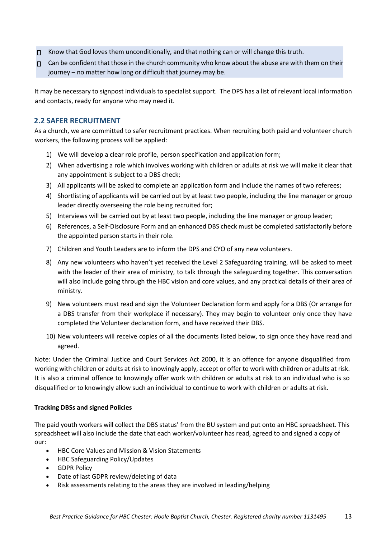- $\Box$  Know that God loves them unconditionally, and that nothing can or will change this truth.
- $\Box$  Can be confident that those in the church community who know about the abuse are with them on their journey – no matter how long or difficult that journey may be.

It may be necessary to signpost individuals to specialist support. The DPS has a list of relevant local information and contacts, ready for anyone who may need it.

# <span id="page-12-0"></span>**2.2 SAFER RECRUITMENT**

As a church, we are committed to safer recruitment practices. When recruiting both paid and volunteer church workers, the following process will be applied:

- 1) We will develop a clear role profile, person specification and application form;
- 2) When advertising a role which involves working with children or adults at risk we will make it clear that any appointment is subject to a DBS check;
- 3) All applicants will be asked to complete an application form and include the names of two referees;
- 4) Shortlisting of applicants will be carried out by at least two people, including the line manager or group leader directly overseeing the role being recruited for;
- 5) Interviews will be carried out by at least two people, including the line manager or group leader;
- 6) References, a Self-Disclosure Form and an enhanced DBS check must be completed satisfactorily before the appointed person starts in their role.
- 7) Children and Youth Leaders are to inform the DPS and CYO of any new volunteers.
- 8) Any new volunteers who haven't yet received the Level 2 Safeguarding training, will be asked to meet with the leader of their area of ministry, to talk through the safeguarding together. This conversation will also include going through the HBC vision and core values, and any practical details of their area of ministry.
- 9) New volunteers must read and sign the Volunteer Declaration form and apply for a DBS (Or arrange for a DBS transfer from their workplace if necessary). They may begin to volunteer only once they have completed the Volunteer declaration form, and have received their DBS.
- 10) New volunteers will receive copies of all the documents listed below, to sign once they have read and agreed.

Note: Under the Criminal Justice and Court Services Act 2000, it is an offence for anyone disqualified from working with children or adults at risk to knowingly apply, accept or offer to work with children or adults at risk. It is also a criminal offence to knowingly offer work with children or adults at risk to an individual who is so disqualified or to knowingly allow such an individual to continue to work with children or adults at risk.

## **Tracking DBSs and signed Policies**

The paid youth workers will collect the DBS status' from the BU system and put onto an HBC spreadsheet. This spreadsheet will also include the date that each worker/volunteer has read, agreed to and signed a copy of our: 

- HBC Core Values and Mission & Vision Statements
- HBC Safeguarding Policy/Updates
- GDPR Policy
- Date of last GDPR review/deleting of data
- Risk assessments relating to the areas they are involved in leading/helping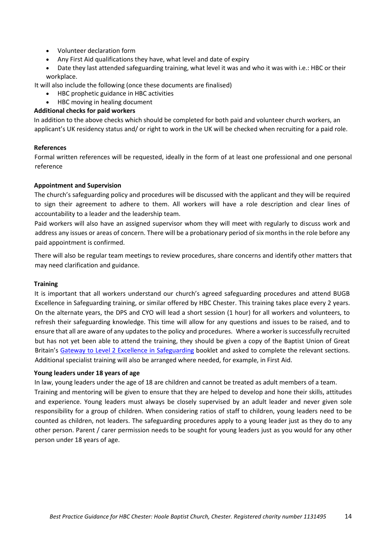- Volunteer declaration form
- Any First Aid qualifications they have, what level and date of expiry
- Date they last attended safeguarding training, what level it was and who it was with i.e.: HBC or their workplace.

It will also include the following (once these documents are finalised) 

- HBC prophetic guidance in HBC activities
- HBC moving in healing document

# **Additional checks for paid workers**

In addition to the above checks which should be completed for both paid and volunteer church workers, an applicant's UK residency status and/ or right to work in the UK will be checked when recruiting for a paid role.

## **References**

Formal written references will be requested, ideally in the form of at least one professional and one personal reference

# **Appointment and Supervision**

The church's safeguarding policy and procedures will be discussed with the applicant and they will be required to sign their agreement to adhere to them. All workers will have a role description and clear lines of accountability to a leader and the leadership team.

Paid workers will also have an assigned supervisor whom they will meet with regularly to discuss work and address any issues or areas of concern. There will be a probationary period of six months in the role before any paid appointment is confirmed.

There will also be regular team meetings to review procedures, share concerns and identify other matters that may need clarification and guidance.

## **Training**

It is important that all workers understand our church's agreed safeguarding procedures and attend BUGB Excellence in Safeguarding training, or similar offered by HBC Chester. This training takes place every 2 years. On the alternate years, the DPS and CYO will lead a short session (1 hour) for all workers and volunteers, to refresh their safeguarding knowledge. This time will allow for any questions and issues to be raised, and to ensure that all are aware of any updates to the policy and procedures. Where a worker is successfully recruited but has not yet been able to attend the training, they should be given a copy of the Baptist Union of Great Britain's [Gateway to Level 2 Excellence](https://bit.ly/2ts4C70) [in](https://bit.ly/2ts4C70) [Safeguarding](https://bit.ly/2ts4C70) booklet and asked to complete the relevant sections. Additional specialist training will also be arranged where needed, for example, in First Aid.

## **Young leaders under 18 years of age**

In law, young leaders under the age of 18 are children and cannot be treated as adult members of a team.

Training and mentoring will be given to ensure that they are helped to develop and hone their skills, attitudes and experience. Young leaders must always be closely supervised by an adult leader and never given sole responsibility for a group of children. When considering ratios of staff to children, young leaders need to be counted as children, not leaders. The safeguarding procedures apply to a young leader just as they do to any other person. Parent / carer permission needs to be sought for young leaders just as you would for any other person under 18 years of age.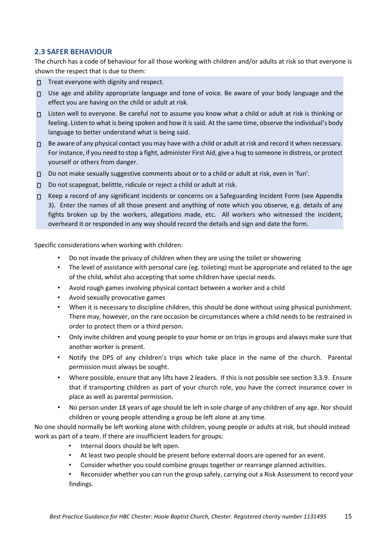# <span id="page-14-0"></span>**2.3 SAFER BEHAVIOUR**

The church has a code of behaviour for all those working with children and/or adults at risk so that everyone is shown the respect that is due to them:

- $\Pi$  Treat everyone with dignity and respect.
- $\Box$  Use age and ability appropriate language and tone of voice. Be aware of your body language and the effect you are having on the child or adult at risk.
- Listen well to everyone. Be careful not to assume you know what a child or adult at risk is thinking or feeling. Listen to what is being spoken and how it is said. At the same time, observe the individual's body language to better understand what is being said.
- □ Be aware of any physical contact you may have with a child or adult at risk and record it when necessary. For instance, if you need to stop a fight, administer First Aid, give a hug to someone in distress, or protect yourself or others from danger.
- □ Do not make sexually suggestive comments about or to a child or adult at risk, even in 'fun'.
- □ Do not scapegoat, belittle, ridicule or reject a child or adult at risk.
- $\Pi$  Keep a record of any significant incidents or concerns on a Safeguarding Incident Form (see Appendix 3). Enter the names of all those present and anything of note which you observe, e.g. details of any fights broken up by the workers, allegations made, etc. All workers who witnessed the incident, overheard it or responded in any way should record the details and sign and date the form.

Specific considerations when working with children:

- Do not invade the privacy of children when they are using the toilet or showering
- The level of assistance with personal care (eg. toileting) must be appropriate and related to the age of the child, whilst also accepting that some children have special needs.
- Avoid rough games involving physical contact between a worker and a child
- Avoid sexually provocative games
- When it is necessary to discipline children, this should be done without using physical punishment. There may, however, on the rare occasion be circumstances where a child needs to be restrained in order to protect them or a third person.
- Only invite children and young people to your home or on trips in groups and always make sure that another worker is present.
- Notify the DPS of any children's trips which take place in the name of the church. Parental permission must always be sought.
- Where possible, ensure that any lifts have 2 leaders. If this is not possible see section 3.3.9. Ensure that if transporting children as part of your church role, you have the correct insurance cover in place as well as parental permission.
- No person under 18 years of age should be left in sole charge of any children of any age. Nor should children or young people attending a group be left alone at any time.

No one should normally be left working alone with children, young people or adults at risk, but should instead work as part of a team. If there are insufficient leaders for groups:

- Internal doors should be left open.
- At least two people should be present before external doors are opened for an event.
- Consider whether you could combine groups together or rearrange planned activities.
- Reconsider whether you can run the group safely, carrying out a Risk Assessment to record your findings.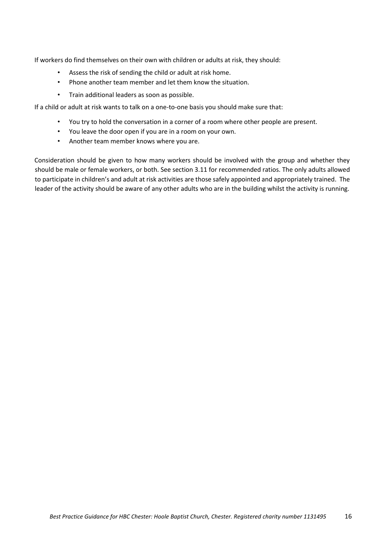If workers do find themselves on their own with children or adults at risk, they should:

- Assess the risk of sending the child or adult at risk home.
- Phone another team member and let them know the situation.
- Train additional leaders as soon as possible.

If a child or adult at risk wants to talk on a one-to-one basis you should make sure that:

- You try to hold the conversation in a corner of a room where other people are present.
- You leave the door open if you are in a room on your own.
- Another team member knows where you are.

Consideration should be given to how many workers should be involved with the group and whether they should be male or female workers, or both. See section 3.11 for recommended ratios. The only adults allowed to participate in children's and adult at risk activities are those safely appointed and appropriately trained. The leader of the activity should be aware of any other adults who are in the building whilst the activity is running.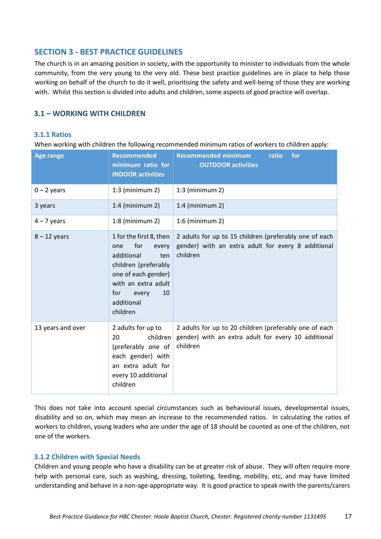# <span id="page-16-0"></span>**SECTION 3 - BEST PRACTICE GUIDELINES**

The church is in an amazing position in society, with the opportunity to minister to individuals from the whole community, from the very young to the very old. These best practice guidelines are in place to help those working on behalf of the church to do it well, prioritising the safety and well-being of those they are working with. Whilst this section is divided into adults and children, some aspects of good practice will overlap.

# <span id="page-16-1"></span>**3.1 – WORKING WITH CHILDREN**

## <span id="page-16-2"></span>**3.1.1 Ratios**

When working with children the following recommended minimum ratios of workers to children apply:

| <b>Age range</b>  | <b>Recommended</b><br>minimum ratio for<br><b>INDOOR activities</b>                                                                                                                       | <b>Recommended minimum</b><br>ratio<br>for<br><b>OUTDOOR activities</b>                                                   |
|-------------------|-------------------------------------------------------------------------------------------------------------------------------------------------------------------------------------------|---------------------------------------------------------------------------------------------------------------------------|
| $0 - 2$ years     | $1:3$ (minimum 2)                                                                                                                                                                         | $1:3$ (minimum 2)                                                                                                         |
| 3 years           | $1:4$ (minimum 2)                                                                                                                                                                         | $1:4$ (minimum 2)                                                                                                         |
| $4 - 7$ years     | $1:8$ (minimum 2)                                                                                                                                                                         | $1:6$ (minimum 2)                                                                                                         |
| $8 - 12$ years    | 1 for the first 8, then<br>for<br>one<br>every<br>additional<br>ten<br>children (preferably<br>one of each gender)<br>with an extra adult<br>for<br>10<br>every<br>additional<br>children | 2 adults for up to 15 children (preferably one of each<br>gender) with an extra adult for every 8 additional<br>children  |
| 13 years and over | 2 adults for up to<br>children<br>20<br>(preferably one of<br>each gender) with<br>an extra adult for<br>every 10 additional<br>children                                                  | 2 adults for up to 20 children (preferably one of each<br>gender) with an extra adult for every 10 additional<br>children |

This does not take into account special circumstances such as behavioural issues, developmental issues, disability and so on, which may mean an increase to the recommended ratios. In calculating the ratios of workers to children, young leaders who are under the age of 18 should be counted as one of the children, not one of the workers.

## <span id="page-16-3"></span>**3.1.2 Children with Special Needs**

Children and young people who have a disability can be at greater risk of abuse. They will often require more help with personal care, such as washing, dressing, toileting, feeding, mobility, etc, and may have limited understanding and behave in a non-age-appropriate way. It is good practice to speak nwith the parents/carers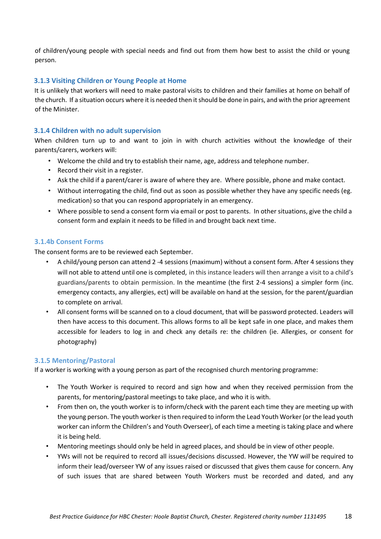of children/young people with special needs and find out from them how best to assist the child or young person.

# <span id="page-17-0"></span>**3.1.3 Visiting Children or Young People at Home**

It is unlikely that workers will need to make pastoral visits to children and their families at home on behalf of the church. If a situation occurs where it is needed then it should be done in pairs, and with the prior agreement of the Minister.

# <span id="page-17-1"></span>**3.1.4 Children with no adult supervision**

When children turn up to and want to join in with church activities without the knowledge of their parents/carers, workers will:

- Welcome the child and try to establish their name, age, address and telephone number.
- Record their visit in a register.
- Ask the child if a parent/carer is aware of where they are. Where possible, phone and make contact.
- Without interrogating the child, find out as soon as possible whether they have any specific needs (eg. medication) so that you can respond appropriately in an emergency.
- Where possible to send a consent form via email or post to parents. In other situations, give the child a consent form and explain it needs to be filled in and brought back next time.

# **3.1.4b Consent Forms**

The consent forms are to be reviewed each September.

- A child/young person can attend 2 -4 sessions (maximum) without a consent form. After 4 sessions they will not able to attend until one is completed, in this instance leaders will then arrange a visit to a child's guardians/parents to obtain permission. In the meantime (the first 2-4 sessions) a simpler form (inc. emergency contacts, any allergies, ect) will be available on hand at the session, for the parent/guardian to complete on arrival.
- All consent forms will be scanned on to a cloud document, that will be password protected. Leaders will then have access to this document. This allows forms to all be kept safe in one place, and makes them accessible for leaders to log in and check any details re: the children (ie. Allergies, or consent for photography)

## **3.1.5 Mentoring/Pastoral**

If a worker is working with a young person as part of the recognised church mentoring programme:

- The Youth Worker is required to record and sign how and when they received permission from the parents, for mentoring/pastoral meetings to take place, and who it is with.
- From then on, the youth worker is to inform/check with the parent each time they are meeting up with the young person. The youth worker is then required to inform the Lead Youth Worker (or the lead youth worker can inform the Children's and Youth Overseer), of each time a meeting is taking place and where it is being held.
- Mentoring meetings should only be held in agreed places, and should be in view of other people.
- YWs will not be required to record all issues/decisions discussed. However, the YW *will*be required to inform their lead/overseer YW of any issues raised or discussed that gives them cause for concern. Any of such issues that are shared between Youth Workers must be recorded and dated, and any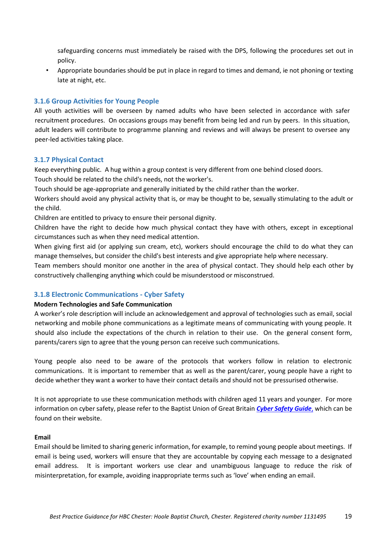safeguarding concerns must immediately be raised with the DPS, following the procedures set out in policy. 

• Appropriate boundaries should be put in place in regard to times and demand, ie not phoning or texting late at night, etc.

# <span id="page-18-0"></span>**3.1.6 Group Activities for Young People**

All youth activities will be overseen by named adults who have been selected in accordance with safer recruitment procedures. On occasions groups may benefit from being led and run by peers. In this situation, adult leaders will contribute to programme planning and reviews and will always be present to oversee any peer-led activities taking place.

## <span id="page-18-1"></span>**3.1.7 Physical Contact**

Keep everything public. A hug within a group context is very different from one behind closed doors.

Touch should be related to the child's needs, not the worker's.

Touch should be age-appropriate and generally initiated by the child rather than the worker.

Workers should avoid any physical activity that is, or may be thought to be, sexually stimulating to the adult or the child.

Children are entitled to privacy to ensure their personal dignity.

Children have the right to decide how much physical contact they have with others, except in exceptional circumstances such as when they need medical attention.

When giving first aid (or applying sun cream, etc), workers should encourage the child to do what they can manage themselves, but consider the child's best interests and give appropriate help where necessary.

Team members should monitor one another in the area of physical contact. They should help each other by constructively challenging anything which could be misunderstood or misconstrued.

# <span id="page-18-2"></span>**3.1.8 Electronic Communications - Cyber Safety**

# **Modern Technologies and Safe Communication**

A worker's role description will include an acknowledgement and approval of technologies such as email, social networking and mobile phone communications as a legitimate means of communicating with young people. It should also include the expectations of the church in relation to their use. On the general consent form, parents/carers sign to agree that the young person can receive such communications.

Young people also need to be aware of the protocols that workers follow in relation to electronic communications. It is important to remember that as well as the parent/carer, young people have a right to decide whether they want a worker to have their contact details and should not be pressurised otherwise.

It is not appropriate to use these communication methods with children aged 11 years and younger. For more information on cyber safety, please refer to the Baptist Union of Great Britain *[Cyber Safety](https://www.baptist.org.uk/Publisher/File.aspx?ID=163516&view=browser) [Guide](https://www.baptist.org.uk/Publisher/File.aspx?ID=163516&view=browser)*[,](https://www.baptist.org.uk/Publisher/File.aspx?ID=163516&view=browser) [w](https://www.baptist.org.uk/Publisher/File.aspx?ID=163516&view=browser)hich can be found on their website.

## **Email**

Email should be limited to sharing generic information, for example, to remind young people about meetings. If email is being used, workers will ensure that they are accountable by copying each message to a designated email address. It is important workers use clear and unambiguous language to reduce the risk of misinterpretation, for example, avoiding inappropriate terms such as 'love' when ending an email.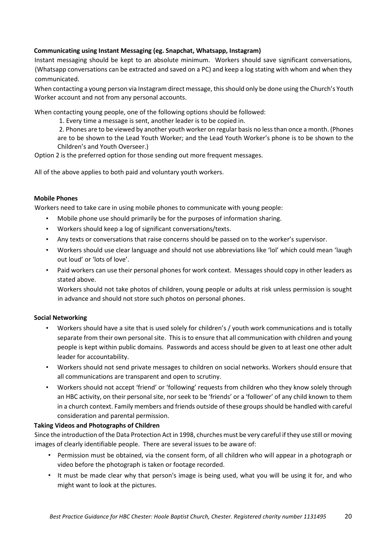# **Communicating using Instant Messaging (eg. Snapchat, Whatsapp, Instagram)**

Instant messaging should be kept to an absolute minimum. Workers should save significant conversations, (Whatsapp conversations can be extracted and saved on a PC) and keep a log stating with whom and when they communicated.

When contacting a young person via Instagram direct message, this should only be done using the Church's Youth Worker account and not from any personal accounts.

When contacting young people, one of the following options should be followed:

 1. Every time a message is sent, another leader is to be copied in.

2. Phones are to be viewed by another youth worker on regular basis no less than once a month. (Phones are to be shown to the Lead Youth Worker; and the Lead Youth Worker's phone is to be shown to the Children's and Youth Overseer.)   

Option 2 is the preferred option for those sending out more frequent messages.

All of the above applies to both paid and voluntary youth workers.

# **Mobile Phones**

Workers need to take care in using mobile phones to communicate with young people:

- Mobile phone use should primarily be for the purposes of information sharing.
- Workers should keep a log of significant conversations/texts.
- Any texts or conversations that raise concerns should be passed on to the worker's supervisor.
- Workers should use clear language and should not use abbreviations like 'lol' which could mean 'laugh out loud' or 'lots of love'.
- Paid workers can use their personal phones for work context. Messages should copy in other leaders as stated above.

Workers should not take photos of children, young people or adults at risk unless permission is sought in advance and should not store such photos on personal phones.

# **Social Networking**

- Workers should have a site that is used solely for children's / youth work communications and is totally separate from their own personal site. This is to ensure that all communication with children and young people is kept within public domains. Passwords and access should be given to at least one other adult leader for accountability.
- Workers should not send private messages to children on social networks. Workers should ensure that all communications are transparent and open to scrutiny.
- Workers should not accept 'friend' or 'following' requests from children who they know solely through an HBC activity, on their personal site, nor seek to be 'friends' or a 'follower' of any child known to them in a church context. Family members and friends outside of these groups should be handled with careful consideration and parental permission.

# **Taking Videos and Photographs of Children**

Since the introduction of the Data Protection Act in 1998, churches must be very careful if they use still or moving images of clearly identifiable people. There are several issues to be aware of:

- Permission must be obtained, via the consent form, of all children who will appear in a photograph or video before the photograph is taken or footage recorded.
- It must be made clear why that person's image is being used, what you will be using it for, and who might want to look at the pictures.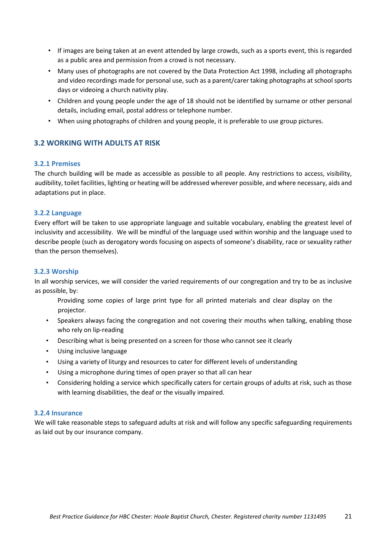- If images are being taken at an event attended by large crowds, such as a sports event, this is regarded as a public area and permission from a crowd is not necessary.
- Many uses of photographs are not covered by the Data Protection Act 1998, including all photographs and video recordings made for personal use, such as a parent/carer taking photographs at school sports days or videoing a church nativity play.
- Children and young people under the age of 18 should not be identified by surname or other personal details, including email, postal address or telephone number.
- When using photographs of children and young people, it is preferable to use group pictures.

# <span id="page-20-0"></span>**3.2 WORKING WITH ADULTS AT RISK**

# <span id="page-20-1"></span>**3.2.1 Premises**

The church building will be made as accessible as possible to all people. Any restrictions to access, visibility, audibility, toilet facilities, lighting or heating will be addressed wherever possible, and where necessary, aids and adaptations put in place.

# <span id="page-20-2"></span>**3.2.2 Language**

Every effort will be taken to use appropriate language and suitable vocabulary, enabling the greatest level of inclusivity and accessibility. We will be mindful of the language used within worship and the language used to describe people (such as derogatory words focusing on aspects of someone's disability, race or sexuality rather than the person themselves).

# <span id="page-20-3"></span>**3.2.3 Worship**

In all worship services, we will consider the varied requirements of our congregation and try to be as inclusive as possible, by:

- Providing some copies of large print type for all printed materials and clear display on the projector.
- Speakers always facing the congregation and not covering their mouths when talking, enabling those who rely on lip-reading
- Describing what is being presented on a screen for those who cannot see it clearly
- Using inclusive language
- Using a variety of liturgy and resources to cater for different levels of understanding
- Using a microphone during times of open prayer so that all can hear
- Considering holding a service which specifically caters for certain groups of adults at risk, such as those with learning disabilities, the deaf or the visually impaired.

# <span id="page-20-4"></span>**3.2.4 Insurance**

We will take reasonable steps to safeguard adults at risk and will follow any specific safeguarding requirements as laid out by our insurance company.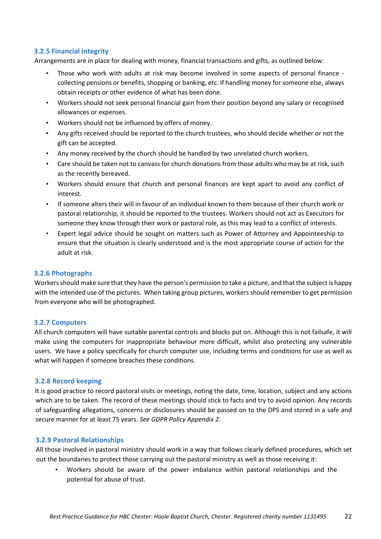# <span id="page-21-0"></span>**3.2.5 Financial integrity**

Arrangements are in place for dealing with money, financial transactions and gifts, as outlined below:

- Those who work with adults at risk may become involved in some aspects of personal finance collecting pensions or benefits, shopping or banking, etc. If handling money for someone else, always obtain receipts or other evidence of what has been done.
- Workers should not seek personal financial gain from their position beyond any salary or recognised allowances or expenses.
- Workers should not be influenced by offers of money.
- Any gifts received should be reported to the church trustees, who should decide whether or not the gift can be accepted.
- Any money received by the church should be handled by two unrelated church workers.
- Care should be taken not to canvass for church donations from those adults who may be at risk, such as the recently bereaved.
- Workers should ensure that church and personal finances are kept apart to avoid any conflict of interest.
- If someone alters their will in favour of an individual known to them because of their church work or pastoral relationship, it should be reported to the trustees. Workers should not act as Executors for someone they know through their work or pastoral role, as this may lead to a conflict of interests.
- Expert legal advice should be sought on matters such as Power of Attorney and Appointeeship to ensure that the situation is clearly understood and is the most appropriate course of action for the adult at risk.

# <span id="page-21-1"></span>**3.2.6 Photographs**

Workers should make sure that they have the person's permission to take a picture, and that the subject is happy with the intended use of the pictures. When taking group pictures, workers should remember to get permission from everyone who will be photographed.

## <span id="page-21-2"></span>**3.2.7 Computers**

All church computers will have suitable parental controls and blocks put on. Although this is not failsafe, it will make using the computers for inappropriate behaviour more difficult, whilst also protecting any vulnerable users. We have a policy specifically for church computer use, including terms and conditions for use as well as what will happen if someone breaches these conditions.

## <span id="page-21-3"></span>**3.2.8 Record keeping**

It is good practice to record pastoral visits or meetings, noting the date, time, location, subject and any actions which are to be taken. The record of these meetings should stick to facts and try to avoid opinion. Any records of safeguarding allegations, concerns or disclosures should be passed on to the DPS and stored in a safe and secure manner for at least 75 years. *See GDPR Policy Appendix 2.* 

## <span id="page-21-4"></span>**3.2.9 Pastoral Relationships**

All those involved in pastoral ministry should work in a way that follows clearly defined procedures, which set out the boundaries to protect those carrying out the pastoral ministry as well as those receiving it:

• Workers should be aware of the power imbalance within pastoral relationships and the potential for abuse of trust.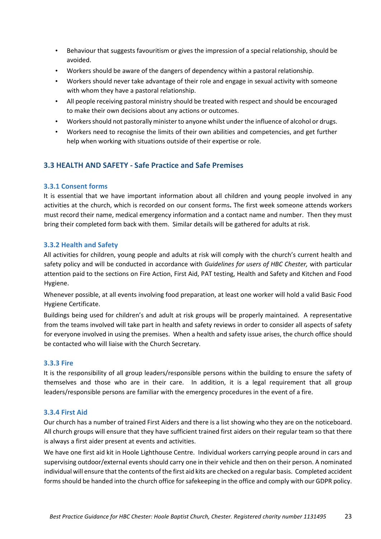- Behaviour that suggests favouritism or gives the impression of a special relationship, should be avoided.
- Workers should be aware of the dangers of dependency within a pastoral relationship.
- Workers should never take advantage of their role and engage in sexual activity with someone with whom they have a pastoral relationship.
- All people receiving pastoral ministry should be treated with respect and should be encouraged to make their own decisions about any actions or outcomes.
- Workers should not pastorally minister to anyone whilst under the influence of alcohol or drugs.
- Workers need to recognise the limits of their own abilities and competencies, and get further help when working with situations outside of their expertise or role.

# <span id="page-22-0"></span>**3.3 HEALTH AND SAFETY - Safe Practice and Safe Premises**

# <span id="page-22-1"></span>**3.3.1 Consent forms**

It is essential that we have important information about all children and young people involved in any activities at the church, which is recorded on our consent forms**.** The first week someone attends workers must record their name, medical emergency information and a contact name and number. Then they must bring their completed form back with them. Similar details will be gathered for adults at risk.

# <span id="page-22-2"></span>**3.3.2 Health and Safety**

All activities for children, young people and adults at risk will comply with the church's current health and safety policy and will be conducted in accordance with *Guidelines for users of HBC Chester,* with particular attention paid to the sections on Fire Action, First Aid, PAT testing, Health and Safety and Kitchen and Food Hygiene.

Whenever possible, at all events involving food preparation, at least one worker will hold a valid Basic Food Hygiene Certificate.

Buildings being used for children's and adult at risk groups will be properly maintained. A representative from the teams involved will take part in health and safety reviews in order to consider all aspects of safety for everyone involved in using the premises. When a health and safety issue arises, the church office should be contacted who will liaise with the Church Secretary.

## <span id="page-22-3"></span>**3.3.3 Fire**

It is the responsibility of all group leaders/responsible persons within the building to ensure the safety of themselves and those who are in their care. In addition, it is a legal requirement that all group leaders/responsible persons are familiar with the emergency procedures in the event of a fire.

## <span id="page-22-4"></span>**3.3.4 First Aid**

Our church has a number of trained First Aiders and there is a list showing who they are on the noticeboard. All church groups will ensure that they have sufficient trained first aiders on their regular team so that there is always a first aider present at events and activities.

We have one first aid kit in Hoole Lighthouse Centre. Individual workers carrying people around in cars and supervising outdoor/external events should carry one in their vehicle and then on their person. A nominated individual will ensure that the contents of the first aid kits are checked on a regular basis. Completed accident forms should be handed into the church office for safekeeping in the office and comply with our GDPR policy.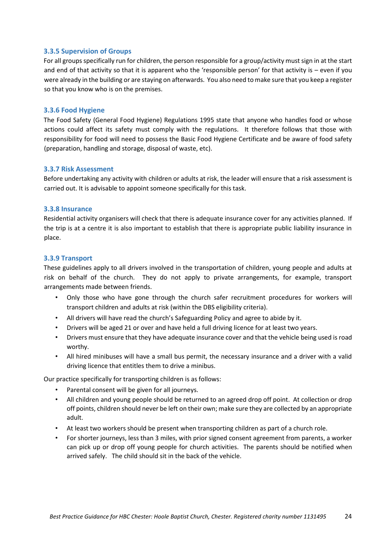# <span id="page-23-0"></span>**3.3.5 Supervision of Groups**

For all groups specifically run for children, the person responsible for a group/activity must sign in at the start and end of that activity so that it is apparent who the 'responsible person' for that activity is – even if you were already in the building or are staying on afterwards. You also need to make sure that you keep a register so that you know who is on the premises.

## <span id="page-23-1"></span>**3.3.6 Food Hygiene**

The Food Safety (General Food Hygiene) Regulations 1995 state that anyone who handles food or whose actions could affect its safety must comply with the regulations. It therefore follows that those with responsibility for food will need to possess the Basic Food Hygiene Certificate and be aware of food safety (preparation, handling and storage, disposal of waste, etc).

## <span id="page-23-2"></span>**3.3.7 Risk Assessment**

Before undertaking any activity with children or adults at risk, the leader will ensure that a risk assessment is carried out. It is advisable to appoint someone specifically for this task.

## <span id="page-23-3"></span>**3.3.8 Insurance**

Residential activity organisers will check that there is adequate insurance cover for any activities planned. If the trip is at a centre it is also important to establish that there is appropriate public liability insurance in place.

## <span id="page-23-4"></span>**3.3.9 Transport**

These guidelines apply to all drivers involved in the transportation of children, young people and adults at risk on behalf of the church. They do not apply to private arrangements, for example, transport arrangements made between friends.

- Only those who have gone through the church safer recruitment procedures for workers will transport children and adults at risk (within the DBS eligibility criteria).
- All drivers will have read the church's Safeguarding Policy and agree to abide by it.
- Drivers will be aged 21 or over and have held a full driving licence for at least two years.
- Drivers must ensure that they have adequate insurance cover and that the vehicle being used is road worthy.
- All hired minibuses will have a small bus permit, the necessary insurance and a driver with a valid driving licence that entitles them to drive a minibus.

Our practice specifically for transporting children is as follows:

- Parental consent will be given for all journeys.
- All children and young people should be returned to an agreed drop off point. At collection or drop off points, children should never be left on their own; make sure they are collected by an appropriate adult.
- At least two workers should be present when transporting children as part of a church role.
- For shorter journeys, less than 3 miles, with prior signed consent agreement from parents, a worker can pick up or drop off young people for church activities. The parents should be notified when arrived safely. The child should sit in the back of the vehicle.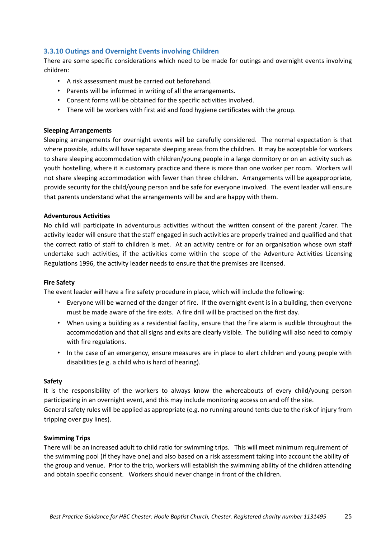# <span id="page-24-0"></span>**3.3.10 Outings and Overnight Events involving Children**

There are some specific considerations which need to be made for outings and overnight events involving children:

- A risk assessment must be carried out beforehand.
- Parents will be informed in writing of all the arrangements.
- Consent forms will be obtained for the specific activities involved.
- There will be workers with first aid and food hygiene certificates with the group.

#### **Sleeping Arrangements**

Sleeping arrangements for overnight events will be carefully considered. The normal expectation is that where possible, adults will have separate sleeping areas from the children. It may be acceptable for workers to share sleeping accommodation with children/young people in a large dormitory or on an activity such as youth hostelling, where it is customary practice and there is more than one worker per room. Workers will not share sleeping accommodation with fewer than three children. Arrangements will be ageappropriate, provide security for the child/young person and be safe for everyone involved. The event leader will ensure that parents understand what the arrangements will be and are happy with them.

#### **Adventurous Activities**

No child will participate in adventurous activities without the written consent of the parent /carer. The activity leader will ensure that the staff engaged in such activities are properly trained and qualified and that the correct ratio of staff to children is met. At an activity centre or for an organisation whose own staff undertake such activities, if the activities come within the scope of the Adventure Activities Licensing Regulations 1996, the activity leader needs to ensure that the premises are licensed.

#### **Fire Safety**

The event leader will have a fire safety procedure in place, which will include the following:

- Everyone will be warned of the danger of fire. If the overnight event is in a building, then everyone must be made aware of the fire exits. A fire drill will be practised on the first day.
- When using a building as a residential facility, ensure that the fire alarm is audible throughout the accommodation and that all signs and exits are clearly visible. The building will also need to comply with fire regulations.
- In the case of an emergency, ensure measures are in place to alert children and young people with disabilities (e.g. a child who is hard of hearing).

## **Safety**

It is the responsibility of the workers to always know the whereabouts of every child/young person participating in an overnight event, and this may include monitoring access on and off the site. General safety rules will be applied as appropriate (e.g. no running around tents due to the risk of injury from tripping over guy lines).

#### **Swimming Trips**

There will be an increased adult to child ratio for swimming trips. This will meet minimum requirement of the swimming pool (if they have one) and also based on a risk assessment taking into account the ability of the group and venue. Prior to the trip, workers will establish the swimming ability of the children attending and obtain specific consent. Workers should never change in front of the children.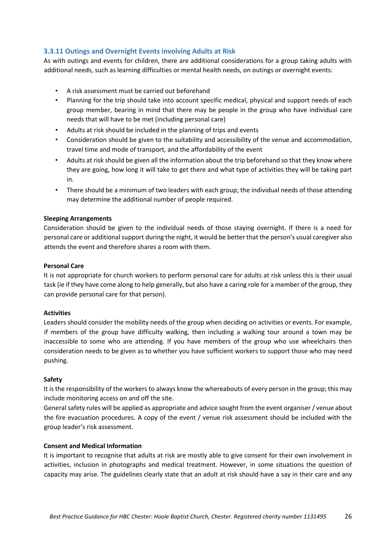# <span id="page-25-0"></span>**3.3.11 Outings and Overnight Events involving Adults at Risk**

As with outings and events for children, there are additional considerations for a group taking adults with additional needs, such as learning difficulties or mental health needs, on outings or overnight events:

- A risk assessment must be carried out beforehand
- Planning for the trip should take into account specific medical, physical and support needs of each group member, bearing in mind that there may be people in the group who have individual care needs that will have to be met (including personal care)
- Adults at risk should be included in the planning of trips and events
- Consideration should be given to the suitability and accessibility of the venue and accommodation, travel time and mode of transport, and the affordability of the event
- Adults at risk should be given all the information about the trip beforehand so that they know where they are going, how long it will take to get there and what type of activities they will be taking part in.
- There should be a minimum of two leaders with each group; the individual needs of those attending may determine the additional number of people required.

## **Sleeping Arrangements**

Consideration should be given to the individual needs of those staying overnight. If there is a need for personal care or additional support during the night, it would be better that the person's usual caregiver also attends the event and therefore shares a room with them.

#### **Personal Care**

It is not appropriate for church workers to perform personal care for adults at risk unless this is their usual task (ie if they have come along to help generally, but also have a caring role for a member of the group, they can provide personal care for that person).

## **Activities**

Leaders should consider the mobility needs of the group when deciding on activities or events. For example, if members of the group have difficulty walking, then including a walking tour around a town may be inaccessible to some who are attending. If you have members of the group who use wheelchairs then consideration needs to be given as to whether you have sufficient workers to support those who may need pushing.

#### **Safety**

It is the responsibility of the workers to always know the whereabouts of every person in the group; this may include monitoring access on and off the site.

General safety rules will be applied as appropriate and advice sought from the event organiser / venue about the fire evacuation procedures. A copy of the event / venue risk assessment should be included with the group leader's risk assessment.

# **Consent and Medical Information**

It is important to recognise that adults at risk are mostly able to give consent for their own involvement in activities, inclusion in photographs and medical treatment. However, in some situations the question of capacity may arise. The guidelines clearly state that an adult at risk should have a say in their care and any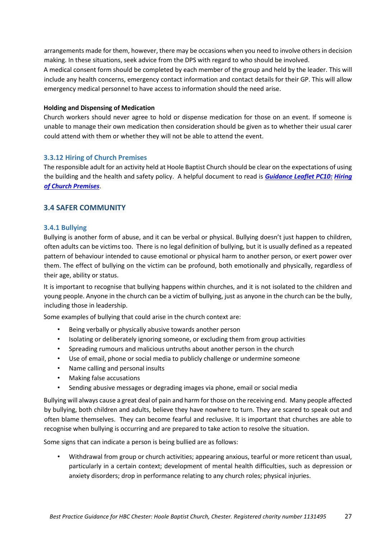arrangements made for them, however, there may be occasions when you need to involve others in decision making. In these situations, seek advice from the DPS with regard to who should be involved.

A medical consent form should be completed by each member of the group and held by the leader. This will include any health concerns, emergency contact information and contact details for their GP. This will allow emergency medical personnel to have access to information should the need arise.

# **Holding and Dispensing of Medication**

Church workers should never agree to hold or dispense medication for those on an event. If someone is unable to manage their own medication then consideration should be given as to whether their usual carer could attend with them or whether they will not be able to attend the event.

# <span id="page-26-0"></span>**3.3.12 Hiring of Church Premises**

The responsible adult for an activity held at Hoole Baptist Church should be clear on the expectations of using the building and the health and safety policy. A helpful document to read is *[Guidance Leaflet PC10:](https://www.baptist.org.uk/Publisher/File.aspx?ID=111357&view=browser) [Hiring](https://www.baptist.org.uk/Publisher/File.aspx?ID=111357&view=browser)  [of Church Premises](https://www.baptist.org.uk/Publisher/File.aspx?ID=111357&view=browser)*[.](https://www.baptist.org.uk/Publisher/File.aspx?ID=111357&view=browser)

# <span id="page-26-1"></span>**3.4 SAFER COMMUNITY**

# <span id="page-26-2"></span>**3.4.1 Bullying**

Bullying is another form of abuse, and it can be verbal or physical. Bullying doesn't just happen to children, often adults can be victims too. There is no legal definition of bullying, but it is usually defined as a repeated pattern of behaviour intended to cause emotional or physical harm to another person, or exert power over them. The effect of bullying on the victim can be profound, both emotionally and physically, regardless of their age, ability or status.

It is important to recognise that bullying happens within churches, and it is not isolated to the children and young people. Anyone in the church can be a victim of bullying, just as anyone in the church can be the bully, including those in leadership.

Some examples of bullying that could arise in the church context are:

- Being verbally or physically abusive towards another person
- Isolating or deliberately ignoring someone, or excluding them from group activities
- Spreading rumours and malicious untruths about another person in the church
- Use of email, phone or social media to publicly challenge or undermine someone
- Name calling and personal insults
- Making false accusations
- Sending abusive messages or degrading images via phone, email or social media

Bullying will always cause a great deal of pain and harm for those on the receiving end. Many people affected by bullying, both children and adults, believe they have nowhere to turn. They are scared to speak out and often blame themselves. They can become fearful and reclusive. It is important that churches are able to recognise when bullying is occurring and are prepared to take action to resolve the situation.

Some signs that can indicate a person is being bullied are as follows:

• Withdrawal from group or church activities; appearing anxious, tearful or more reticent than usual, particularly in a certain context; development of mental health difficulties, such as depression or anxiety disorders; drop in performance relating to any church roles; physical injuries.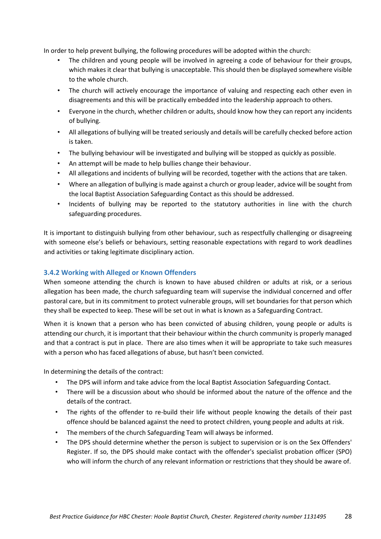In order to help prevent bullying, the following procedures will be adopted within the church:

- The children and young people will be involved in agreeing a code of behaviour for their groups, which makes it clear that bullying is unacceptable. This should then be displayed somewhere visible to the whole church.
- The church will actively encourage the importance of valuing and respecting each other even in disagreements and this will be practically embedded into the leadership approach to others.
- Everyone in the church, whether children or adults, should know how they can report any incidents of bullying.
- All allegations of bullying will be treated seriously and details will be carefully checked before action is taken.
- The bullying behaviour will be investigated and bullying will be stopped as quickly as possible.
- An attempt will be made to help bullies change their behaviour.
- All allegations and incidents of bullying will be recorded, together with the actions that are taken.
- Where an allegation of bullying is made against a church or group leader, advice will be sought from the local Baptist Association Safeguarding Contact as this should be addressed.
- Incidents of bullying may be reported to the statutory authorities in line with the church safeguarding procedures.

It is important to distinguish bullying from other behaviour, such as respectfully challenging or disagreeing with someone else's beliefs or behaviours, setting reasonable expectations with regard to work deadlines and activities or taking legitimate disciplinary action.

# <span id="page-27-0"></span>**3.4.2 Working with Alleged or Known Offenders**

When someone attending the church is known to have abused children or adults at risk, or a serious allegation has been made, the church safeguarding team will supervise the individual concerned and offer pastoral care, but in its commitment to protect vulnerable groups, will set boundaries for that person which they shall be expected to keep. These will be set out in what is known as a Safeguarding Contract.

When it is known that a person who has been convicted of abusing children, young people or adults is attending our church, it is important that their behaviour within the church community is properly managed and that a contract is put in place. There are also times when it will be appropriate to take such measures with a person who has faced allegations of abuse, but hasn't been convicted.

In determining the details of the contract:

- The DPS will inform and take advice from the local Baptist Association Safeguarding Contact.
- There will be a discussion about who should be informed about the nature of the offence and the details of the contract.
- The rights of the offender to re-build their life without people knowing the details of their past offence should be balanced against the need to protect children, young people and adults at risk.
- The members of the church Safeguarding Team will always be informed.
- The DPS should determine whether the person is subject to supervision or is on the Sex Offenders' Register. If so, the DPS should make contact with the offender's specialist probation officer (SPO) who will inform the church of any relevant information or restrictions that they should be aware of.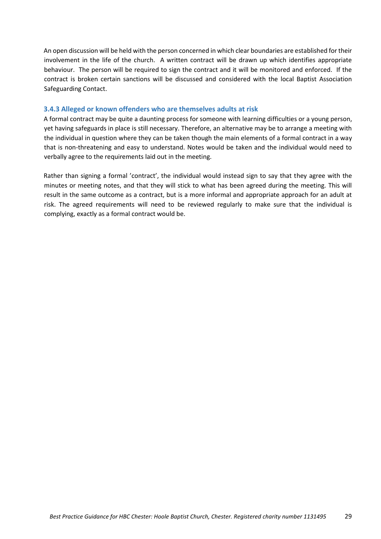An open discussion will be held with the person concerned in which clear boundaries are established for their involvement in the life of the church. A written contract will be drawn up which identifies appropriate behaviour. The person will be required to sign the contract and it will be monitored and enforced. If the contract is broken certain sanctions will be discussed and considered with the local Baptist Association Safeguarding Contact.

#### **3.4.3 Alleged or known offenders who are themselves adults at risk**

A formal contract may be quite a daunting process for someone with learning difficulties or a young person, yet having safeguards in place is still necessary. Therefore, an alternative may be to arrange a meeting with the individual in question where they can be taken though the main elements of a formal contract in a way that is non-threatening and easy to understand. Notes would be taken and the individual would need to verbally agree to the requirements laid out in the meeting.

Rather than signing a formal 'contract', the individual would instead sign to say that they agree with the minutes or meeting notes, and that they will stick to what has been agreed during the meeting. This will result in the same outcome as a contract, but is a more informal and appropriate approach for an adult at risk. The agreed requirements will need to be reviewed regularly to make sure that the individual is complying, exactly as a formal contract would be.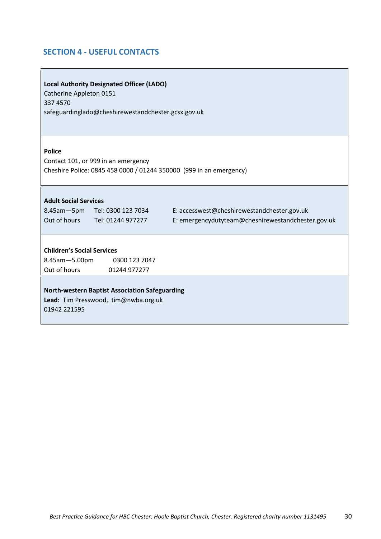# <span id="page-29-0"></span>**SECTION 4 - USEFUL CONTACTS**

| <b>Local Authority Designated Officer (LADO)</b><br>Catherine Appleton 0151<br>337 4570<br>safeguardinglado@cheshirewestandchester.gcsx.gov.uk                       |
|----------------------------------------------------------------------------------------------------------------------------------------------------------------------|
| <b>Police</b><br>Contact 101, or 999 in an emergency<br>Cheshire Police: 0845 458 0000 / 01244 350000 (999 in an emergency)                                          |
| <b>Adult Social Services</b>                                                                                                                                         |
| E: accesswest@cheshirewestandchester.gov.uk<br>8.45am-5pm Tel: 0300 123 7034<br>Out of hours Tel: 01244 977277<br>E: emergencydutyteam@cheshirewestandchester.gov.uk |
| <b>Children's Social Services</b><br>8.45am - 5.00pm<br>0300 123 7047<br>Out of hours<br>01244 977277                                                                |
| <b>North-western Baptist Association Safeguarding</b><br>Lead: Tim Presswood, tim@nwba.org.uk<br>01942 221595                                                        |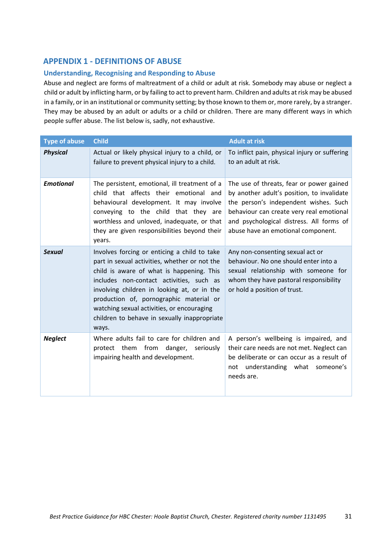# <span id="page-30-0"></span>**APPENDIX 1 - DEFINITIONS OF ABUSE**

# **Understanding, Recognising and Responding to Abuse**

Abuse and neglect are forms of maltreatment of a child or adult at risk. Somebody may abuse or neglect a child or adult by inflicting harm, or by failing to act to prevent harm. Children and adults at risk may be abused in a family, or in an institutional or community setting; by those known to them or, more rarely, by a stranger. They may be abused by an adult or adults or a child or children. There are many different ways in which people suffer abuse. The list below is, sadly, not exhaustive.

| <b>Type of abuse</b> | <b>Child</b>                                                                                                                                                                                                                                                                                                                                                                            | <b>Adult at risk</b>                                                                                                                                                                                                                                          |
|----------------------|-----------------------------------------------------------------------------------------------------------------------------------------------------------------------------------------------------------------------------------------------------------------------------------------------------------------------------------------------------------------------------------------|---------------------------------------------------------------------------------------------------------------------------------------------------------------------------------------------------------------------------------------------------------------|
| <b>Physical</b>      | Actual or likely physical injury to a child, or<br>failure to prevent physical injury to a child.                                                                                                                                                                                                                                                                                       | To inflict pain, physical injury or suffering<br>to an adult at risk.                                                                                                                                                                                         |
| <b>Emotional</b>     | The persistent, emotional, ill treatment of a<br>child that affects their emotional and<br>behavioural development. It may involve<br>conveying to the child that they are<br>worthless and unloved, inadequate, or that<br>they are given responsibilities beyond their<br>years.                                                                                                      | The use of threats, fear or power gained<br>by another adult's position, to invalidate<br>the person's independent wishes. Such<br>behaviour can create very real emotional<br>and psychological distress. All forms of<br>abuse have an emotional component. |
| <b>Sexual</b>        | Involves forcing or enticing a child to take<br>part in sexual activities, whether or not the<br>child is aware of what is happening. This<br>includes non-contact activities, such as<br>involving children in looking at, or in the<br>production of, pornographic material or<br>watching sexual activities, or encouraging<br>children to behave in sexually inappropriate<br>ways. | Any non-consenting sexual act or<br>behaviour. No one should enter into a<br>sexual relationship with someone for<br>whom they have pastoral responsibility<br>or hold a position of trust.                                                                   |
| <b>Neglect</b>       | Where adults fail to care for children and<br>protect them from danger, seriously<br>impairing health and development.                                                                                                                                                                                                                                                                  | A person's wellbeing is impaired, and<br>their care needs are not met. Neglect can<br>be deliberate or can occur as a result of<br>not understanding what<br>someone's<br>needs are.                                                                          |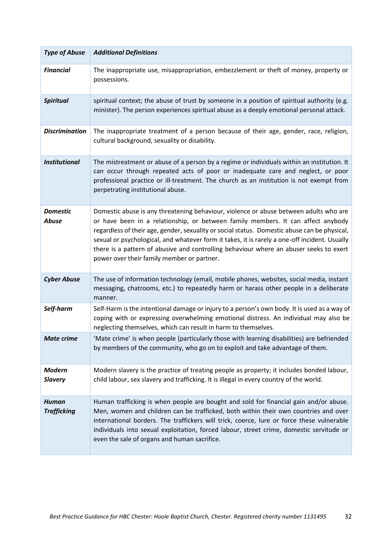| <b>Type of Abuse</b>               | <b>Additional Definitions</b>                                                                                                                                                                                                                                                                                                                                                                                                                                                                                      |
|------------------------------------|--------------------------------------------------------------------------------------------------------------------------------------------------------------------------------------------------------------------------------------------------------------------------------------------------------------------------------------------------------------------------------------------------------------------------------------------------------------------------------------------------------------------|
| <b>Financial</b>                   | The inappropriate use, misappropriation, embezzlement or theft of money, property or<br>possessions.                                                                                                                                                                                                                                                                                                                                                                                                               |
| <b>Spiritual</b>                   | spiritual context; the abuse of trust by someone in a position of spiritual authority (e.g.<br>minister). The person experiences spiritual abuse as a deeply emotional personal attack.                                                                                                                                                                                                                                                                                                                            |
| <b>Discrimination</b>              | The inappropriate treatment of a person because of their age, gender, race, religion,<br>cultural background, sexuality or disability.                                                                                                                                                                                                                                                                                                                                                                             |
| <b>Institutional</b>               | The mistreatment or abuse of a person by a regime or individuals within an institution. It<br>can occur through repeated acts of poor or inadequate care and neglect, or poor<br>professional practice or ill-treatment. The church as an institution is not exempt from<br>perpetrating institutional abuse.                                                                                                                                                                                                      |
| <b>Domestic</b><br><b>Abuse</b>    | Domestic abuse is any threatening behaviour, violence or abuse between adults who are<br>or have been in a relationship, or between family members. It can affect anybody<br>regardless of their age, gender, sexuality or social status. Domestic abuse can be physical,<br>sexual or psychological, and whatever form it takes, it is rarely a one-off incident. Usually<br>there is a pattern of abusive and controlling behaviour where an abuser seeks to exert<br>power over their family member or partner. |
| <b>Cyber Abuse</b>                 | The use of information technology (email, mobile phones, websites, social media, instant<br>messaging, chatrooms, etc.) to repeatedly harm or harass other people in a deliberate<br>manner.                                                                                                                                                                                                                                                                                                                       |
| Self-harm                          | Self-Harm is the intentional damage or injury to a person's own body. It is used as a way of<br>coping with or expressing overwhelming emotional distress. An individual may also be<br>neglecting themselves, which can result in harm to themselves.                                                                                                                                                                                                                                                             |
| <b>Mate crime</b>                  | 'Mate crime' is when people (particularly those with learning disabilities) are befriended<br>by members of the community, who go on to exploit and take advantage of them.                                                                                                                                                                                                                                                                                                                                        |
| <b>Modern</b><br><b>Slavery</b>    | Modern slavery is the practice of treating people as property; it includes bonded labour,<br>child labour, sex slavery and trafficking. It is illegal in every country of the world.                                                                                                                                                                                                                                                                                                                               |
| <b>Human</b><br><b>Trafficking</b> | Human trafficking is when people are bought and sold for financial gain and/or abuse.<br>Men, women and children can be trafficked, both within their own countries and over<br>international borders. The traffickers will trick, coerce, lure or force these vulnerable<br>individuals into sexual exploitation, forced labour, street crime, domestic servitude or<br>even the sale of organs and human sacrifice.                                                                                              |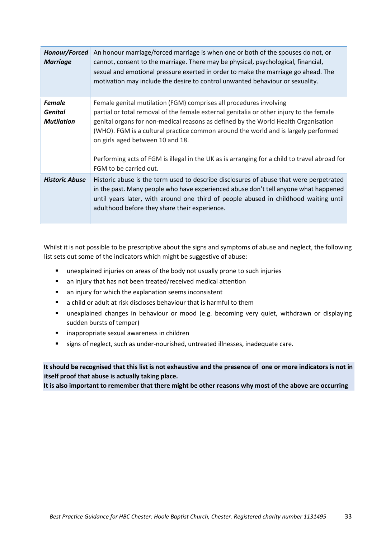| Honour/Forced<br><b>Marriage</b>                     | An honour marriage/forced marriage is when one or both of the spouses do not, or<br>cannot, consent to the marriage. There may be physical, psychological, financial,<br>sexual and emotional pressure exerted in order to make the marriage go ahead. The<br>motivation may include the desire to control unwanted behaviour or sexuality.                                                                                                                                                             |
|------------------------------------------------------|---------------------------------------------------------------------------------------------------------------------------------------------------------------------------------------------------------------------------------------------------------------------------------------------------------------------------------------------------------------------------------------------------------------------------------------------------------------------------------------------------------|
| <b>Female</b><br><b>Genital</b><br><b>Mutilation</b> | Female genital mutilation (FGM) comprises all procedures involving<br>partial or total removal of the female external genitalia or other injury to the female<br>genital organs for non-medical reasons as defined by the World Health Organisation<br>(WHO). FGM is a cultural practice common around the world and is largely performed<br>on girls aged between 10 and 18.<br>Performing acts of FGM is illegal in the UK as is arranging for a child to travel abroad for<br>FGM to be carried out. |
| <b>Historic Abuse</b>                                | Historic abuse is the term used to describe disclosures of abuse that were perpetrated<br>in the past. Many people who have experienced abuse don't tell anyone what happened<br>until years later, with around one third of people abused in childhood waiting until<br>adulthood before they share their experience.                                                                                                                                                                                  |

Whilst it is not possible to be prescriptive about the signs and symptoms of abuse and neglect, the following list sets out some of the indicators which might be suggestive of abuse:

- unexplained injuries on areas of the body not usually prone to such injuries
- an injury that has not been treated/received medical attention
- an injury for which the explanation seems inconsistent
- a child or adult at risk discloses behaviour that is harmful to them
- unexplained changes in behaviour or mood (e.g. becoming very quiet, withdrawn or displaying sudden bursts of temper)
- inappropriate sexual awareness in children
- signs of neglect, such as under-nourished, untreated illnesses, inadequate care.

# **It should be recognised that this list is not exhaustive and the presence of one or more indicators is not in itself proof that abuse is actually taking place.**

**It is also important to remember that there might be other reasons why most of the above are occurring**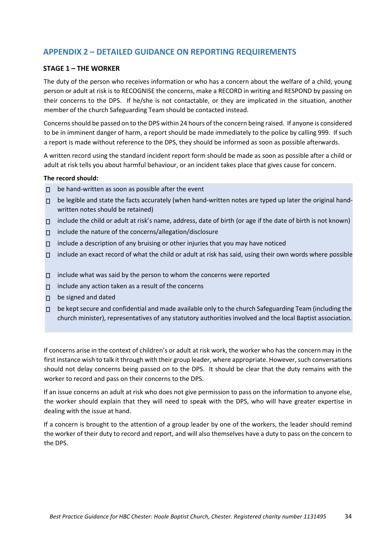# <span id="page-33-0"></span>**APPENDIX 2 – DETAILED GUIDANCE ON REPORTING REQUIREMENTS**

# **STAGE 1 – THE WORKER**

The duty of the person who receives information or who has a concern about the welfare of a child, young person or adult at risk is to RECOGNISE the concerns, make a RECORD in writing and RESPOND by passing on their concerns to the DPS. If he/she is not contactable, or they are implicated in the situation, another member of the church Safeguarding Team should be contacted instead.

Concerns should be passed on to the DPS within 24 hours of the concern being raised. If anyone is considered to be in imminent danger of harm, a report should be made immediately to the police by calling 999. If such a report is made without reference to the DPS, they should be informed as soon as possible afterwards.

A written record using the standard incident report form should be made as soon as possible after a child or adult at risk tells you about harmful behaviour, or an incident takes place that gives cause for concern.

#### **The record should:**

- be hand-written as soon as possible after the event  $\Box$
- $\Box$  be legible and state the facts accurately (when hand-written notes are typed up later the original handwritten notes should be retained)
- $\Box$  include the child or adult at risk's name, address, date of birth (or age if the date of birth is not known)
- $\Box$  include the nature of the concerns/allegation/disclosure
- $\Box$  include a description of any bruising or other injuries that you may have noticed
- $\Box$  include an exact record of what the child or adult at risk has said, using their own words where possible
- $\Box$  include what was said by the person to whom the concerns were reported
- $\Box$  include any action taken as a result of the concerns
- D be signed and dated
- $\Box$  be kept secure and confidential and made available only to the church Safeguarding Team (including the church minister), representatives of any statutory authorities involved and the local Baptist association.

If concerns arise in the context of children's or adult at risk work, the worker who has the concern may in the first instance wish to talk it through with their group leader, where appropriate. However, such conversations should not delay concerns being passed on to the DPS. It should be clear that the duty remains with the worker to record and pass on their concerns to the DPS.

If an issue concerns an adult at risk who does not give permission to pass on the information to anyone else, the worker should explain that they will need to speak with the DPS, who will have greater expertise in dealing with the issue at hand.

If a concern is brought to the attention of a group leader by one of the workers, the leader should remind the worker of their duty to record and report, and will also themselves have a duty to pass on the concern to the DPS.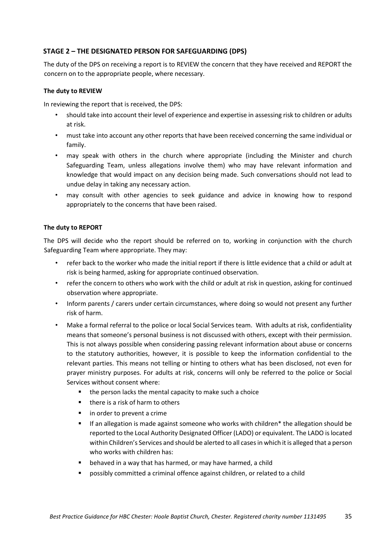# **STAGE 2 – THE DESIGNATED PERSON FOR SAFEGUARDING (DPS)**

The duty of the DPS on receiving a report is to REVIEW the concern that they have received and REPORT the concern on to the appropriate people, where necessary.

# **The duty to REVIEW**

In reviewing the report that is received, the DPS:

- should take into account their level of experience and expertise in assessing risk to children or adults at risk.
- must take into account any other reports that have been received concerning the same individual or family.
- may speak with others in the church where appropriate (including the Minister and church Safeguarding Team, unless allegations involve them) who may have relevant information and knowledge that would impact on any decision being made. Such conversations should not lead to undue delay in taking any necessary action.
- may consult with other agencies to seek guidance and advice in knowing how to respond appropriately to the concerns that have been raised.

# **The duty to REPORT**

The DPS will decide who the report should be referred on to, working in conjunction with the church Safeguarding Team where appropriate. They may:

- refer back to the worker who made the initial report if there is little evidence that a child or adult at risk is being harmed, asking for appropriate continued observation.
- refer the concern to others who work with the child or adult at risk in question, asking for continued observation where appropriate.
- Inform parents / carers under certain circumstances, where doing so would not present any further risk of harm.
- Make a formal referral to the police or local Social Services team. With adults at risk, confidentiality means that someone's personal business is not discussed with others, except with their permission. This is not always possible when considering passing relevant information about abuse or concerns to the statutory authorities, however, it is possible to keep the information confidential to the relevant parties. This means not telling or hinting to others what has been disclosed, not even for prayer ministry purposes. For adults at risk, concerns will only be referred to the police or Social Services without consent where:
	- the person lacks the mental capacity to make such a choice
	- there is a risk of harm to others
	- in order to prevent a crime
	- If an allegation is made against someone who works with children<sup>\*</sup> the allegation should be reported to the Local Authority Designated Officer (LADO) or equivalent. The LADO is located within Children's Services and should be alerted to all cases in which it is alleged that a person who works with children has:
	- behaved in a way that has harmed, or may have harmed, a child
	- possibly committed a criminal offence against children, or related to a child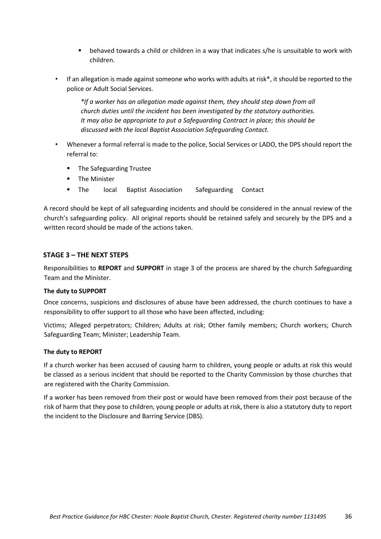- behaved towards a child or children in a way that indicates s/he is unsuitable to work with children.
- If an allegation is made against someone who works with adults at risk\*, it should be reported to the police or Adult Social Services.

*\*If a worker has an allegation made against them, they should step down from all church duties until the incident has been investigated by the statutory authorities. It may also be appropriate to put a Safeguarding Contract in place; this should be discussed with the local Baptist Association Safeguarding Contact.* 

- Whenever a formal referral is made to the police, Social Services or LADO, the DPS should report the referral to:
	- The Safeguarding Trustee
	- The Minister
	- The local Baptist Association Safeguarding Contact

A record should be kept of all safeguarding incidents and should be considered in the annual review of the church's safeguarding policy. All original reports should be retained safely and securely by the DPS and a written record should be made of the actions taken.

# **STAGE 3 – THE NEXT STEPS**

Responsibilities to **REPORT** and **SUPPORT** in stage 3 of the process are shared by the church Safeguarding Team and the Minister.

## **The duty to SUPPORT**

Once concerns, suspicions and disclosures of abuse have been addressed, the church continues to have a responsibility to offer support to all those who have been affected, including:

Victims; Alleged perpetrators; Children; Adults at risk; Other family members; Church workers; Church Safeguarding Team; Minister; Leadership Team.

## **The duty to REPORT**

If a church worker has been accused of causing harm to children, young people or adults at risk this would be classed as a serious incident that should be reported to the Charity Commission by those churches that are registered with the Charity Commission.

If a worker has been removed from their post or would have been removed from their post because of the risk of harm that they pose to children, young people or adults at risk, there is also a statutory duty to report the incident to the Disclosure and Barring Service (DBS).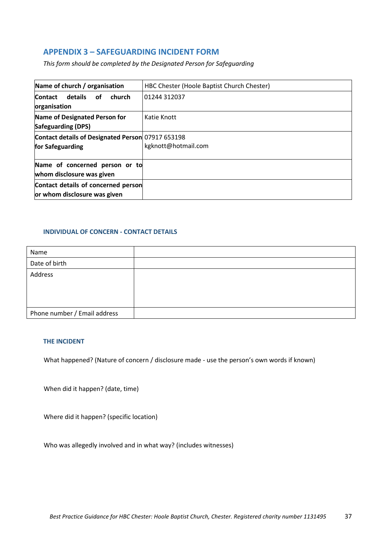# <span id="page-36-0"></span>**APPENDIX 3 – SAFEGUARDING INCIDENT FORM**

*This form should be completed by the Designated Person for Safeguarding*

| Name of church / organisation                                         | HBC Chester (Hoole Baptist Church Chester) |  |
|-----------------------------------------------------------------------|--------------------------------------------|--|
| details<br>church<br><b>Contact</b><br>οf<br>organisation             | 01244 312037                               |  |
| <b>Name of Designated Person for</b><br><b>Safeguarding (DPS)</b>     | Katie Knott                                |  |
| Contact details of Designated Person 07917 653198<br>for Safeguarding | kgknott@hotmail.com                        |  |
| Name of concerned person or to<br>whom disclosure was given           |                                            |  |
| Contact details of concerned person<br>or whom disclosure was given   |                                            |  |

# **INDIVIDUAL OF CONCERN - CONTACT DETAILS**

| Name                         |  |
|------------------------------|--|
| Date of birth                |  |
| Address                      |  |
|                              |  |
|                              |  |
|                              |  |
| Phone number / Email address |  |

## **THE INCIDENT**

What happened? (Nature of concern / disclosure made - use the person's own words if known)

When did it happen? (date, time)

Where did it happen? (specific location)

Who was allegedly involved and in what way? (includes witnesses)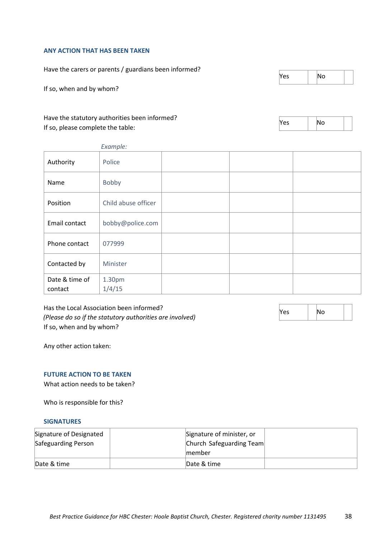#### **ANY ACTION THAT HAS BEEN TAKEN**

Have the carers or parents / guardians been informed?

If so, when and by whom?

# Have the statutory authorities been informed? If so, please complete the table:

 $Yes$  |  $No$ 

| 291 |  |
|-----|--|
|     |  |

| Example:                  |                     |  |  |  |
|---------------------------|---------------------|--|--|--|
| Authority                 | Police              |  |  |  |
| Name                      | Bobby               |  |  |  |
| Position                  | Child abuse officer |  |  |  |
| Email contact             | bobby@police.com    |  |  |  |
| Phone contact             | 077999              |  |  |  |
| Contacted by              | Minister            |  |  |  |
| Date & time of<br>contact | 1.30pm<br>1/4/15    |  |  |  |

Has the Local Association been informed? *(Please do so if the statutory authorities are involved)*  If so, when and by whom?

 $Yes$   $|No$ 

Any other action taken:

# **FUTURE ACTION TO BE TAKEN**

What action needs to be taken?

Who is responsible for this?

# **SIGNATURES**

| Signature of Designated | Signature of minister, or |                          |  |
|-------------------------|---------------------------|--------------------------|--|
| Safeguarding Person     |                           | Church Safeguarding Team |  |
|                         | member                    |                          |  |
| Date & time             | Date & time               |                          |  |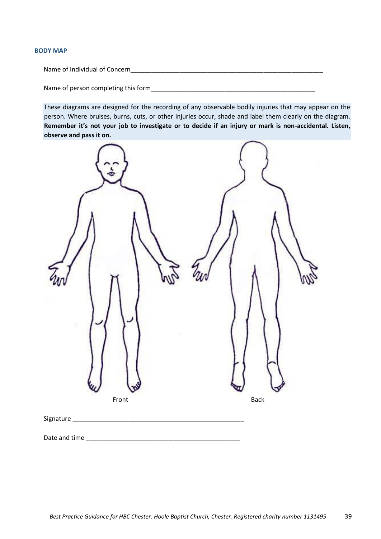#### **BODY MAP**

Name of Individual of Concern

Name of person completing this form

These diagrams are designed for the recording of any observable bodily injuries that may appear on the person. Where bruises, burns, cuts, or other injuries occur, shade and label them clearly on the diagram. **Remember it's not your job to investigate or to decide if an injury or mark is non-accidental. Listen, observe and pass it on.**

| Front     | <b>Back</b> |
|-----------|-------------|
| Signature |             |

Date and time  $\Box$